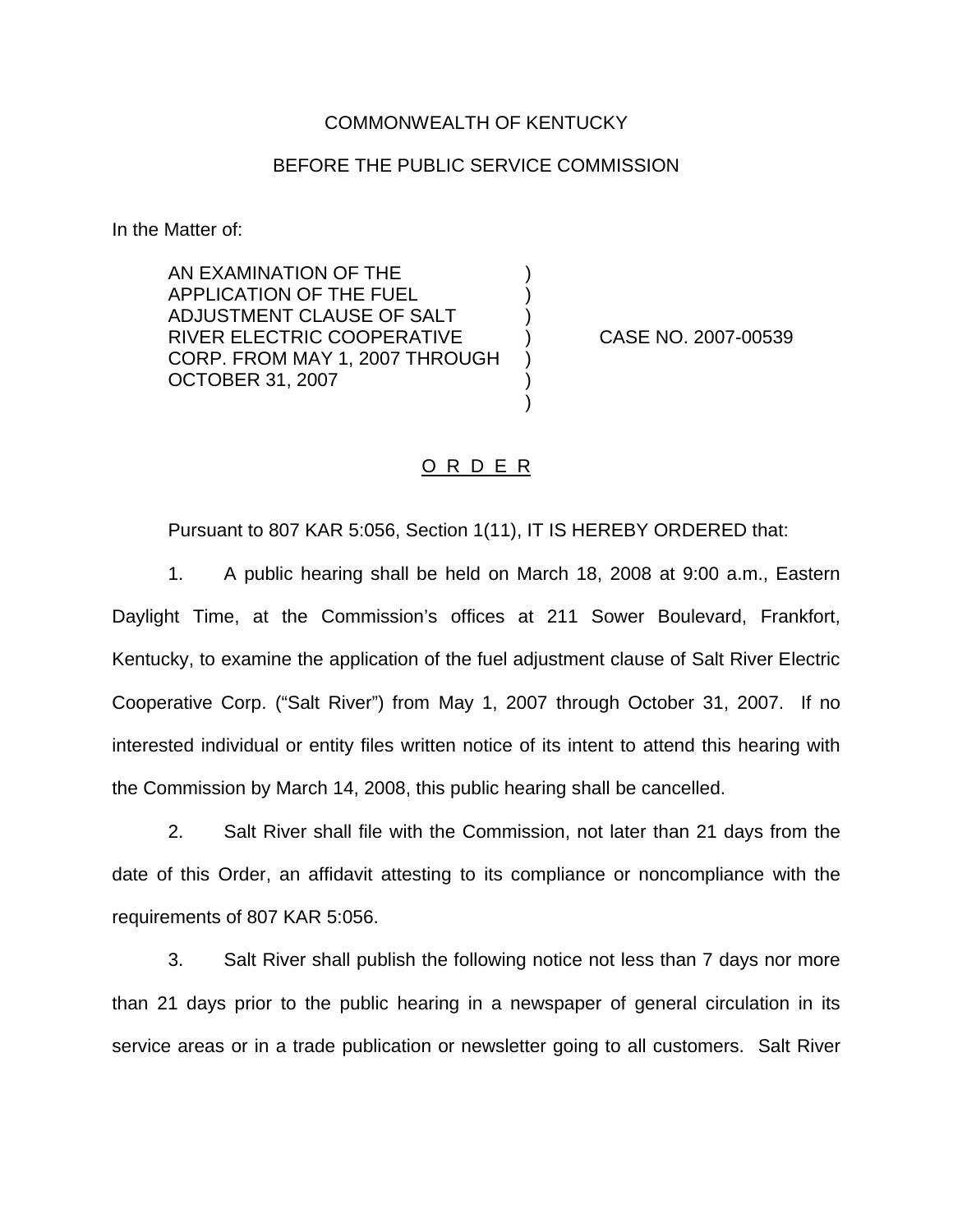## COMMONWEALTH OF KENTUCKY

## BEFORE THE PUBLIC SERVICE COMMISSION

) ) )

) ) )

In the Matter of:

AN EXAMINATION OF THE APPLICATION OF THE FUEL ADJUSTMENT CLAUSE OF SALT RIVER ELECTRIC COOPERATIVE CORP. FROM MAY 1, 2007 THROUGH OCTOBER 31, 2007

) CASE NO. 2007-00539

## O R D E R

Pursuant to 807 KAR 5:056, Section 1(11), IT IS HEREBY ORDERED that:

1. A public hearing shall be held on March 18, 2008 at 9:00 a.m., Eastern Daylight Time, at the Commission's offices at 211 Sower Boulevard, Frankfort, Kentucky, to examine the application of the fuel adjustment clause of Salt River Electric Cooperative Corp. ("Salt River") from May 1, 2007 through October 31, 2007. If no interested individual or entity files written notice of its intent to attend this hearing with the Commission by March 14, 2008, this public hearing shall be cancelled.

2. Salt River shall file with the Commission, not later than 21 days from the date of this Order, an affidavit attesting to its compliance or noncompliance with the requirements of 807 KAR 5:056.

3. Salt River shall publish the following notice not less than 7 days nor more than 21 days prior to the public hearing in a newspaper of general circulation in its service areas or in a trade publication or newsletter going to all customers. Salt River